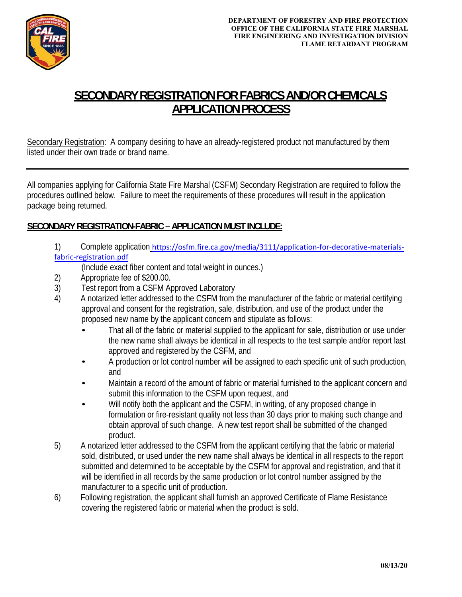

## **SECONDARY REGISTRATION FOR FABRICS AND/OR CHEMICALS APPLICATION PROCESS**

Secondary Registration: A company desiring to have an already-registered product not manufactured by them listed under their own trade or brand name.

All companies applying for California State Fire Marshal (CSFM) Secondary Registration are required to follow the procedures outlined below. Failure to meet the requirements of these procedures will result in the application package being returned.

## **SECONDARY REGISTRATION-FABRIC – APPLICATION MUST INCLUDE:**

1) Complete application https://osfm.fire.ca.gov/media/3111/application-for-decorative-materialsfabric‐registration.pdf

(Include exact fiber content and total weight in ounces.)

- 2) Appropriate fee of \$200.00.
- 3) Test report from a CSFM Approved Laboratory
- 4) A notarized letter addressed to the CSFM from the manufacturer of the fabric or material certifying approval and consent for the registration, sale, distribution, and use of the product under the proposed new name by the applicant concern and stipulate as follows:
	- That all of the fabric or material supplied to the applicant for sale, distribution or use under the new name shall always be identical in all respects to the test sample and/or report last approved and registered by the CSFM, and
	- A production or lot control number will be assigned to each specific unit of such production, and
	- Maintain a record of the amount of fabric or material furnished to the applicant concern and submit this information to the CSFM upon request, and
	- Will notify both the applicant and the CSFM, in writing, of any proposed change in formulation or fire-resistant quality not less than 30 days prior to making such change and obtain approval of such change. A new test report shall be submitted of the changed product.
- 5) A notarized letter addressed to the CSFM from the applicant certifying that the fabric or material sold, distributed, or used under the new name shall always be identical in all respects to the report submitted and determined to be acceptable by the CSFM for approval and registration, and that it will be identified in all records by the same production or lot control number assigned by the manufacturer to a specific unit of production.
- 6) Following registration, the applicant shall furnish an approved Certificate of Flame Resistance covering the registered fabric or material when the product is sold.